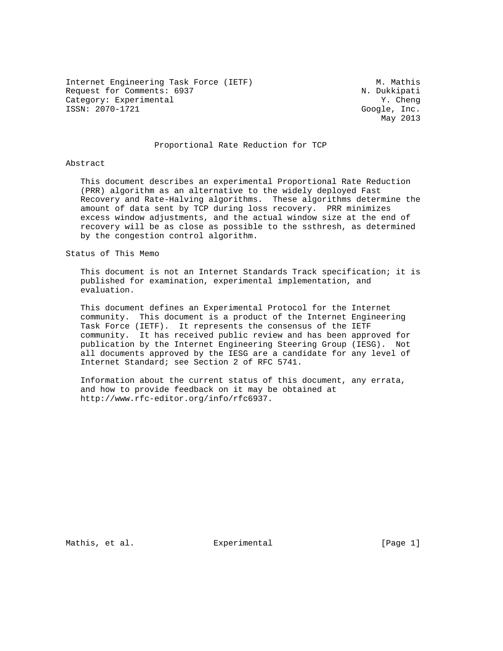Internet Engineering Task Force (IETF) M. Mathis Request for Comments: 6937 N. Dukkipati Category: Experimental  $Y.$  Cheng ISSN: 2070-1721 Google, Inc.

May 2013

# Proportional Rate Reduction for TCP

### Abstract

 This document describes an experimental Proportional Rate Reduction (PRR) algorithm as an alternative to the widely deployed Fast Recovery and Rate-Halving algorithms. These algorithms determine the amount of data sent by TCP during loss recovery. PRR minimizes excess window adjustments, and the actual window size at the end of recovery will be as close as possible to the ssthresh, as determined by the congestion control algorithm.

### Status of This Memo

 This document is not an Internet Standards Track specification; it is published for examination, experimental implementation, and evaluation.

 This document defines an Experimental Protocol for the Internet community. This document is a product of the Internet Engineering Task Force (IETF). It represents the consensus of the IETF community. It has received public review and has been approved for publication by the Internet Engineering Steering Group (IESG). Not all documents approved by the IESG are a candidate for any level of Internet Standard; see Section 2 of RFC 5741.

 Information about the current status of this document, any errata, and how to provide feedback on it may be obtained at http://www.rfc-editor.org/info/rfc6937.

Mathis, et al.  $\Box$  Experimental  $\Box$  [Page 1]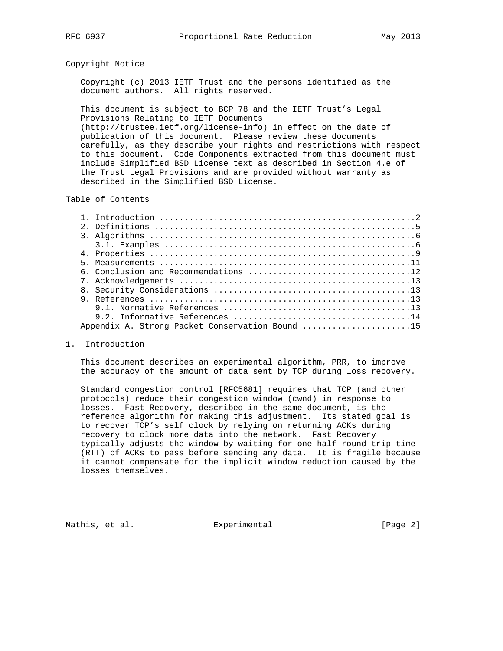### Copyright Notice

 Copyright (c) 2013 IETF Trust and the persons identified as the document authors. All rights reserved.

 This document is subject to BCP 78 and the IETF Trust's Legal Provisions Relating to IETF Documents (http://trustee.ietf.org/license-info) in effect on the date of publication of this document. Please review these documents carefully, as they describe your rights and restrictions with respect to this document. Code Components extracted from this document must

 include Simplified BSD License text as described in Section 4.e of the Trust Legal Provisions and are provided without warranty as described in the Simplified BSD License.

# Table of Contents

| Appendix A. Strong Packet Conservation Bound 15 |
|-------------------------------------------------|

### 1. Introduction

 This document describes an experimental algorithm, PRR, to improve the accuracy of the amount of data sent by TCP during loss recovery.

 Standard congestion control [RFC5681] requires that TCP (and other protocols) reduce their congestion window (cwnd) in response to losses. Fast Recovery, described in the same document, is the reference algorithm for making this adjustment. Its stated goal is to recover TCP's self clock by relying on returning ACKs during recovery to clock more data into the network. Fast Recovery typically adjusts the window by waiting for one half round-trip time (RTT) of ACKs to pass before sending any data. It is fragile because it cannot compensate for the implicit window reduction caused by the losses themselves.

Mathis, et al.  $\qquad \qquad$  Experimental  $\qquad \qquad$  [Page 2]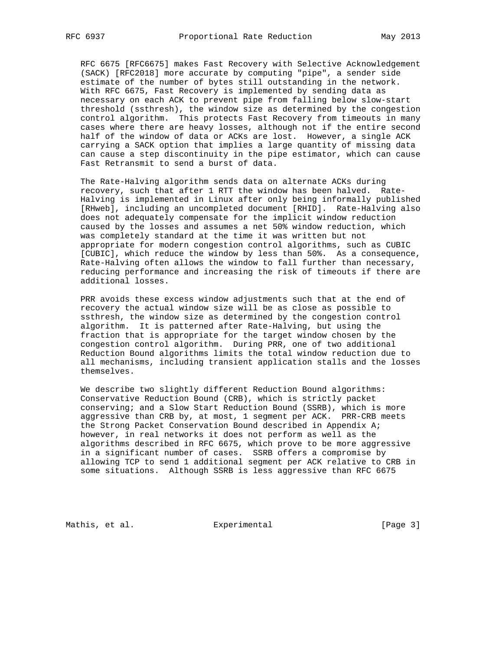RFC 6675 [RFC6675] makes Fast Recovery with Selective Acknowledgement (SACK) [RFC2018] more accurate by computing "pipe", a sender side estimate of the number of bytes still outstanding in the network. With RFC 6675, Fast Recovery is implemented by sending data as necessary on each ACK to prevent pipe from falling below slow-start threshold (ssthresh), the window size as determined by the congestion control algorithm. This protects Fast Recovery from timeouts in many cases where there are heavy losses, although not if the entire second half of the window of data or ACKs are lost. However, a single ACK carrying a SACK option that implies a large quantity of missing data can cause a step discontinuity in the pipe estimator, which can cause Fast Retransmit to send a burst of data.

 The Rate-Halving algorithm sends data on alternate ACKs during recovery, such that after 1 RTT the window has been halved. Rate- Halving is implemented in Linux after only being informally published [RHweb], including an uncompleted document [RHID]. Rate-Halving also does not adequately compensate for the implicit window reduction caused by the losses and assumes a net 50% window reduction, which was completely standard at the time it was written but not appropriate for modern congestion control algorithms, such as CUBIC [CUBIC], which reduce the window by less than 50%. As a consequence, Rate-Halving often allows the window to fall further than necessary, reducing performance and increasing the risk of timeouts if there are additional losses.

 PRR avoids these excess window adjustments such that at the end of recovery the actual window size will be as close as possible to ssthresh, the window size as determined by the congestion control algorithm. It is patterned after Rate-Halving, but using the fraction that is appropriate for the target window chosen by the congestion control algorithm. During PRR, one of two additional Reduction Bound algorithms limits the total window reduction due to all mechanisms, including transient application stalls and the losses themselves.

 We describe two slightly different Reduction Bound algorithms: Conservative Reduction Bound (CRB), which is strictly packet conserving; and a Slow Start Reduction Bound (SSRB), which is more aggressive than CRB by, at most, 1 segment per ACK. PRR-CRB meets the Strong Packet Conservation Bound described in Appendix A; however, in real networks it does not perform as well as the algorithms described in RFC 6675, which prove to be more aggressive in a significant number of cases. SSRB offers a compromise by allowing TCP to send 1 additional segment per ACK relative to CRB in some situations. Although SSRB is less aggressive than RFC 6675

Mathis, et al.  $\qquad \qquad$  Experimental  $\qquad \qquad$  [Page 3]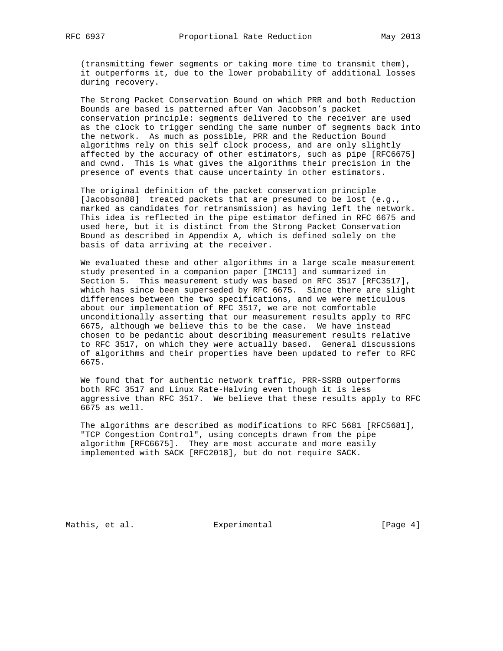(transmitting fewer segments or taking more time to transmit them), it outperforms it, due to the lower probability of additional losses during recovery.

 The Strong Packet Conservation Bound on which PRR and both Reduction Bounds are based is patterned after Van Jacobson's packet conservation principle: segments delivered to the receiver are used as the clock to trigger sending the same number of segments back into the network. As much as possible, PRR and the Reduction Bound algorithms rely on this self clock process, and are only slightly affected by the accuracy of other estimators, such as pipe [RFC6675] and cwnd. This is what gives the algorithms their precision in the presence of events that cause uncertainty in other estimators.

 The original definition of the packet conservation principle [Jacobson88] treated packets that are presumed to be lost (e.g., marked as candidates for retransmission) as having left the network. This idea is reflected in the pipe estimator defined in RFC 6675 and used here, but it is distinct from the Strong Packet Conservation Bound as described in Appendix A, which is defined solely on the basis of data arriving at the receiver.

 We evaluated these and other algorithms in a large scale measurement study presented in a companion paper [IMC11] and summarized in Section 5. This measurement study was based on RFC 3517 [RFC3517], which has since been superseded by RFC 6675. Since there are slight differences between the two specifications, and we were meticulous about our implementation of RFC 3517, we are not comfortable unconditionally asserting that our measurement results apply to RFC 6675, although we believe this to be the case. We have instead chosen to be pedantic about describing measurement results relative to RFC 3517, on which they were actually based. General discussions of algorithms and their properties have been updated to refer to RFC 6675.

 We found that for authentic network traffic, PRR-SSRB outperforms both RFC 3517 and Linux Rate-Halving even though it is less aggressive than RFC 3517. We believe that these results apply to RFC 6675 as well.

 The algorithms are described as modifications to RFC 5681 [RFC5681], "TCP Congestion Control", using concepts drawn from the pipe algorithm [RFC6675]. They are most accurate and more easily implemented with SACK [RFC2018], but do not require SACK.

Mathis, et al.  $\qquad \qquad$  Experimental  $\qquad \qquad$  [Page 4]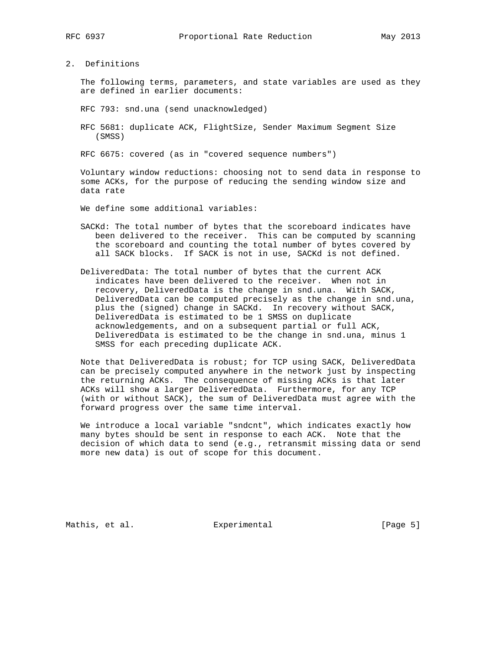2. Definitions

 The following terms, parameters, and state variables are used as they are defined in earlier documents:

RFC 793: snd.una (send unacknowledged)

 RFC 5681: duplicate ACK, FlightSize, Sender Maximum Segment Size (SMSS)

RFC 6675: covered (as in "covered sequence numbers")

 Voluntary window reductions: choosing not to send data in response to some ACKs, for the purpose of reducing the sending window size and data rate

We define some additional variables:

- SACKd: The total number of bytes that the scoreboard indicates have been delivered to the receiver. This can be computed by scanning the scoreboard and counting the total number of bytes covered by all SACK blocks. If SACK is not in use, SACKd is not defined.
- DeliveredData: The total number of bytes that the current ACK indicates have been delivered to the receiver. When not in recovery, DeliveredData is the change in snd.una. With SACK, DeliveredData can be computed precisely as the change in snd.una, plus the (signed) change in SACKd. In recovery without SACK, DeliveredData is estimated to be 1 SMSS on duplicate acknowledgements, and on a subsequent partial or full ACK, DeliveredData is estimated to be the change in snd.una, minus 1 SMSS for each preceding duplicate ACK.

 Note that DeliveredData is robust; for TCP using SACK, DeliveredData can be precisely computed anywhere in the network just by inspecting the returning ACKs. The consequence of missing ACKs is that later ACKs will show a larger DeliveredData. Furthermore, for any TCP (with or without SACK), the sum of DeliveredData must agree with the forward progress over the same time interval.

 We introduce a local variable "sndcnt", which indicates exactly how many bytes should be sent in response to each ACK. Note that the decision of which data to send (e.g., retransmit missing data or send more new data) is out of scope for this document.

Mathis, et al.  $\qquad \qquad$  Experimental  $\qquad \qquad$  [Page 5]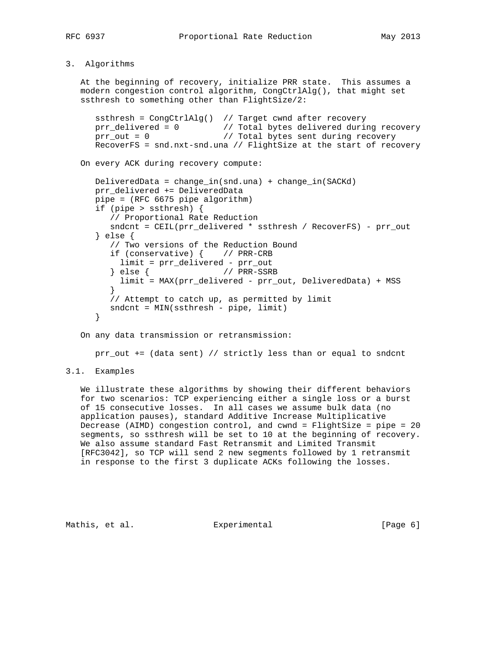# 3. Algorithms

 At the beginning of recovery, initialize PRR state. This assumes a modern congestion control algorithm, CongCtrlAlg(), that might set ssthresh to something other than FlightSize/2:

 ssthresh = CongCtrlAlg() // Target cwnd after recovery prr\_delivered = 0 // Total bytes delivered during recovery prr\_out = 0 // Total bytes sent during recovery RecoverFS = snd.nxt-snd.una // FlightSize at the start of recovery

On every ACK during recovery compute:

```
 DeliveredData = change_in(snd.una) + change_in(SACKd)
     prr_delivered += DeliveredData
     pipe = (RFC 6675 pipe algorithm)
     if (pipe > ssthresh) {
        // Proportional Rate Reduction
        sndcnt = CEIL(prr_delivered * ssthresh / RecoverFS) - prr_out
     } else {
        // Two versions of the Reduction Bound
        if (conservative) { // PRR-CRB
        limit = prr_delivered - prr_out
                     // PRR-SSRB
          limit = MAX(prr_delivered - prr_out, DeliveredData) + MSS
}
        // Attempt to catch up, as permitted by limit
        sndcnt = MIN(ssthresh - pipe, limit)
     }
```
On any data transmission or retransmission:

prr\_out += (data sent) // strictly less than or equal to sndcnt

# 3.1. Examples

 We illustrate these algorithms by showing their different behaviors for two scenarios: TCP experiencing either a single loss or a burst of 15 consecutive losses. In all cases we assume bulk data (no application pauses), standard Additive Increase Multiplicative Decrease (AIMD) congestion control, and cwnd = FlightSize = pipe = 20 segments, so ssthresh will be set to 10 at the beginning of recovery. We also assume standard Fast Retransmit and Limited Transmit [RFC3042], so TCP will send 2 new segments followed by 1 retransmit in response to the first 3 duplicate ACKs following the losses.

Mathis, et al.  $\Box$  Experimental  $\Box$  [Page 6]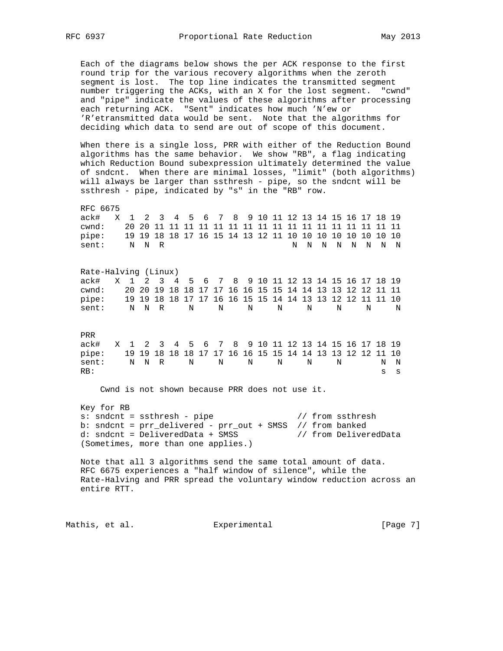Each of the diagrams below shows the per ACK response to the first round trip for the various recovery algorithms when the zeroth segment is lost. The top line indicates the transmitted segment number triggering the ACKs, with an X for the lost segment. "cwnd" and "pipe" indicate the values of these algorithms after processing each returning ACK. "Sent" indicates how much 'N'ew or 'R'etransmitted data would be sent. Note that the algorithms for deciding which data to send are out of scope of this document.

 When there is a single loss, PRR with either of the Reduction Bound algorithms has the same behavior. We show "RB", a flag indicating which Reduction Bound subexpression ultimately determined the value of sndcnt. When there are minimal losses, "limit" (both algorithms) will always be larger than ssthresh - pipe, so the sndcnt will be ssthresh - pipe, indicated by "s" in the "RB" row.

 RFC 6675 ack# X 1 2 3 4 5 6 7 8 9 10 11 12 13 14 15 16 17 18 19 cwnd: 20 20 11 11 11 11 11 11 11 11 11 11 11 11 11 11 11 11 11 pipe: 19 19 18 18 17 16 15 14 13 12 11 10 10 10 10 10 10 10 10 sent: N N R N N N N N N N N

 Rate-Halving (Linux) ack# X 1 2 3 4 5 6 7 8 9 10 11 12 13 14 15 16 17 18 19 cwnd: 20 20 19 18 18 17 17 16 16 15 15 14 14 13 13 12 12 11 11 pipe: 19 19 18 18 17 17 16 16 15 15 14 14 13 13 12 12 11 11 10 pipe: 19 19 18 18 17 17 16 16 15 15 14 14 13 13 12 12 11 11 10<br>sent: NNRNNNNNNNNNNN

 PRR ack# X 1 2 3 4 5 6 7 8 9 10 11 12 13 14 15 16 17 18 19 pipe: 19 19 18 18 18 17 17 16 16 15 15 14 14 13 13 12 12 11 10 sent: N N R N N N N N N N N  $RB:$  s s

Cwnd is not shown because PRR does not use it.

 Key for RB s: sndcnt = ssthresh - pipe // from ssthresh b: sndcnt = prr\_delivered - prr\_out + SMSS // from banked d: sndcnt = DeliveredData + SMSS // from DeliveredData (Sometimes, more than one applies.)

 Note that all 3 algorithms send the same total amount of data. RFC 6675 experiences a "half window of silence", while the Rate-Halving and PRR spread the voluntary window reduction across an entire RTT.

Mathis, et al.  $\qquad \qquad$  Experimental  $\qquad \qquad$  [Page 7]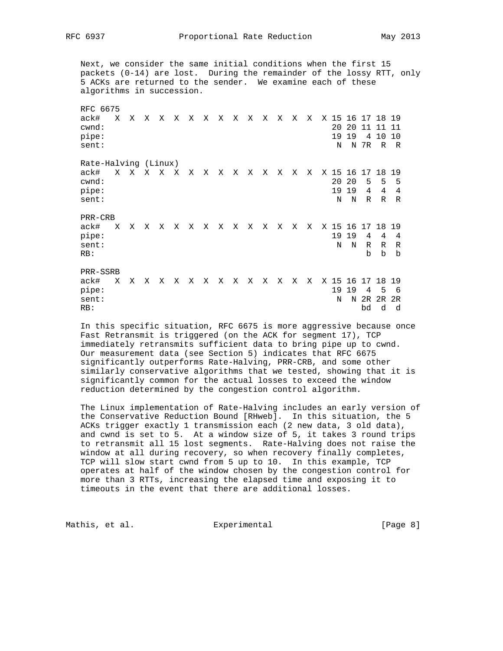RFC 6937 Proportional Rate Reduction May 2013

 Next, we consider the same initial conditions when the first 15 packets (0-14) are lost. During the remainder of the lossy RTT, only 5 ACKs are returned to the sender. We examine each of these algorithms in succession. RFC 6675 ack# X X X X X X X X X X X X X X X 15 16 17 18 19 cwnd: 20 20 11 11 11 pipe: 19 19 4 10 10 sent: N N 7R R R Rate-Halving (Linux) ack# X X X X X X X X X X X X X X X 15 16 17 18 19 cwnd: 20 20 5 5 5 pipe: 19 19 4 4 4 sent: N N R R R PRR-CRB ack# X X X X X X X X X X X X X X X 15 16 17 18 19 pipe: 19 19 4 4 4 sent: N N R R R RB: b b b PRR-SSRB ack# X X X X X X X X X X X X X X X 15 16 17 18 19 pipe: 19 19 4 5 6 sent: N N 2R 2R 2R RB: bd d d

 In this specific situation, RFC 6675 is more aggressive because once Fast Retransmit is triggered (on the ACK for segment 17), TCP immediately retransmits sufficient data to bring pipe up to cwnd. Our measurement data (see Section 5) indicates that RFC 6675 significantly outperforms Rate-Halving, PRR-CRB, and some other similarly conservative algorithms that we tested, showing that it is significantly common for the actual losses to exceed the window reduction determined by the congestion control algorithm.

 The Linux implementation of Rate-Halving includes an early version of the Conservative Reduction Bound [RHweb]. In this situation, the 5 ACKs trigger exactly 1 transmission each (2 new data, 3 old data), and cwnd is set to 5. At a window size of 5, it takes 3 round trips to retransmit all 15 lost segments. Rate-Halving does not raise the window at all during recovery, so when recovery finally completes, TCP will slow start cwnd from 5 up to 10. In this example, TCP operates at half of the window chosen by the congestion control for more than 3 RTTs, increasing the elapsed time and exposing it to timeouts in the event that there are additional losses.

Mathis, et al.  $\qquad \qquad$  Experimental  $\qquad \qquad$  [Page 8]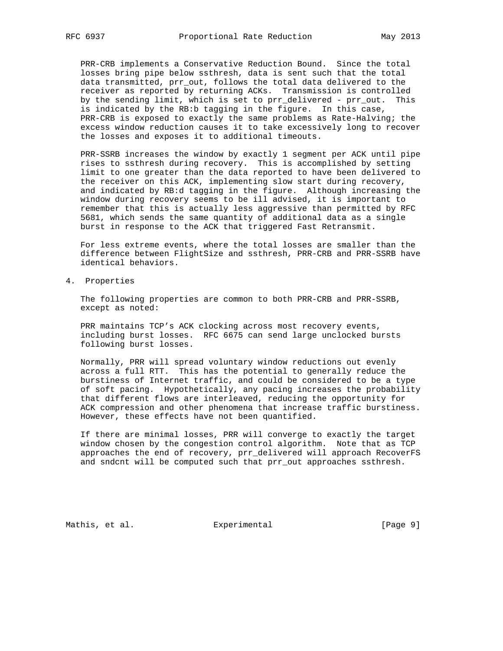PRR-CRB implements a Conservative Reduction Bound. Since the total losses bring pipe below ssthresh, data is sent such that the total data transmitted, prr\_out, follows the total data delivered to the receiver as reported by returning ACKs. Transmission is controlled by the sending limit, which is set to prr\_delivered - prr\_out. This is indicated by the RB:b tagging in the figure. In this case, PRR-CRB is exposed to exactly the same problems as Rate-Halving; the excess window reduction causes it to take excessively long to recover the losses and exposes it to additional timeouts.

 PRR-SSRB increases the window by exactly 1 segment per ACK until pipe rises to ssthresh during recovery. This is accomplished by setting limit to one greater than the data reported to have been delivered to the receiver on this ACK, implementing slow start during recovery, and indicated by RB:d tagging in the figure. Although increasing the window during recovery seems to be ill advised, it is important to remember that this is actually less aggressive than permitted by RFC 5681, which sends the same quantity of additional data as a single burst in response to the ACK that triggered Fast Retransmit.

 For less extreme events, where the total losses are smaller than the difference between FlightSize and ssthresh, PRR-CRB and PRR-SSRB have identical behaviors.

4. Properties

 The following properties are common to both PRR-CRB and PRR-SSRB, except as noted:

 PRR maintains TCP's ACK clocking across most recovery events, including burst losses. RFC 6675 can send large unclocked bursts following burst losses.

 Normally, PRR will spread voluntary window reductions out evenly across a full RTT. This has the potential to generally reduce the burstiness of Internet traffic, and could be considered to be a type of soft pacing. Hypothetically, any pacing increases the probability that different flows are interleaved, reducing the opportunity for ACK compression and other phenomena that increase traffic burstiness. However, these effects have not been quantified.

 If there are minimal losses, PRR will converge to exactly the target window chosen by the congestion control algorithm. Note that as TCP approaches the end of recovery, prr\_delivered will approach RecoverFS and sndcnt will be computed such that prr\_out approaches ssthresh.

Mathis, et al.  $\qquad \qquad$  Experimental  $\qquad \qquad$  [Page 9]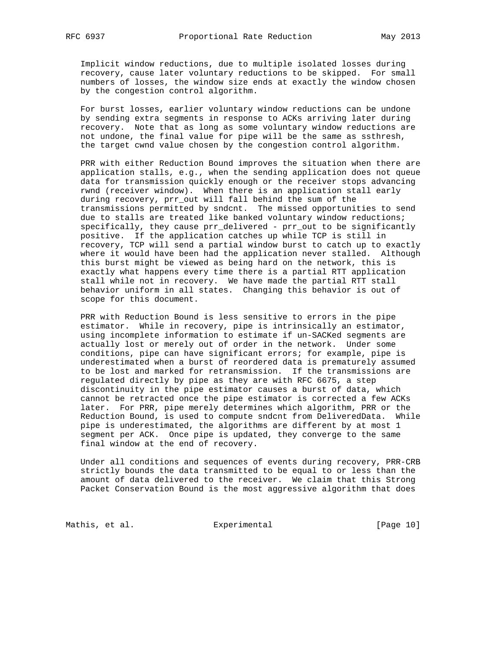Implicit window reductions, due to multiple isolated losses during recovery, cause later voluntary reductions to be skipped. For small numbers of losses, the window size ends at exactly the window chosen by the congestion control algorithm.

 For burst losses, earlier voluntary window reductions can be undone by sending extra segments in response to ACKs arriving later during recovery. Note that as long as some voluntary window reductions are not undone, the final value for pipe will be the same as ssthresh, the target cwnd value chosen by the congestion control algorithm.

 PRR with either Reduction Bound improves the situation when there are application stalls, e.g., when the sending application does not queue data for transmission quickly enough or the receiver stops advancing rwnd (receiver window). When there is an application stall early during recovery, prr\_out will fall behind the sum of the transmissions permitted by sndcnt. The missed opportunities to send due to stalls are treated like banked voluntary window reductions; specifically, they cause prr\_delivered - prr\_out to be significantly positive. If the application catches up while TCP is still in recovery, TCP will send a partial window burst to catch up to exactly where it would have been had the application never stalled. Although this burst might be viewed as being hard on the network, this is exactly what happens every time there is a partial RTT application stall while not in recovery. We have made the partial RTT stall behavior uniform in all states. Changing this behavior is out of scope for this document.

 PRR with Reduction Bound is less sensitive to errors in the pipe estimator. While in recovery, pipe is intrinsically an estimator, using incomplete information to estimate if un-SACKed segments are actually lost or merely out of order in the network. Under some conditions, pipe can have significant errors; for example, pipe is underestimated when a burst of reordered data is prematurely assumed to be lost and marked for retransmission. If the transmissions are regulated directly by pipe as they are with RFC 6675, a step discontinuity in the pipe estimator causes a burst of data, which cannot be retracted once the pipe estimator is corrected a few ACKs later. For PRR, pipe merely determines which algorithm, PRR or the Reduction Bound, is used to compute sndcnt from DeliveredData. While pipe is underestimated, the algorithms are different by at most 1 segment per ACK. Once pipe is updated, they converge to the same final window at the end of recovery.

 Under all conditions and sequences of events during recovery, PRR-CRB strictly bounds the data transmitted to be equal to or less than the amount of data delivered to the receiver. We claim that this Strong Packet Conservation Bound is the most aggressive algorithm that does

Mathis, et al.  $\qquad \qquad$  Experimental  $\qquad \qquad$  [Page 10]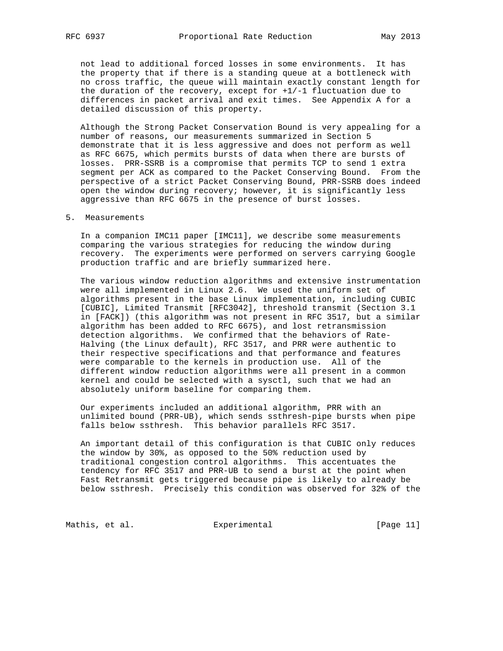not lead to additional forced losses in some environments. It has the property that if there is a standing queue at a bottleneck with no cross traffic, the queue will maintain exactly constant length for the duration of the recovery, except for +1/-1 fluctuation due to differences in packet arrival and exit times. See Appendix A for a detailed discussion of this property.

 Although the Strong Packet Conservation Bound is very appealing for a number of reasons, our measurements summarized in Section 5 demonstrate that it is less aggressive and does not perform as well as RFC 6675, which permits bursts of data when there are bursts of losses. PRR-SSRB is a compromise that permits TCP to send 1 extra segment per ACK as compared to the Packet Conserving Bound. From the perspective of a strict Packet Conserving Bound, PRR-SSRB does indeed open the window during recovery; however, it is significantly less aggressive than RFC 6675 in the presence of burst losses.

### 5. Measurements

 In a companion IMC11 paper [IMC11], we describe some measurements comparing the various strategies for reducing the window during recovery. The experiments were performed on servers carrying Google production traffic and are briefly summarized here.

 The various window reduction algorithms and extensive instrumentation were all implemented in Linux 2.6. We used the uniform set of algorithms present in the base Linux implementation, including CUBIC [CUBIC], Limited Transmit [RFC3042], threshold transmit (Section 3.1 in [FACK]) (this algorithm was not present in RFC 3517, but a similar algorithm has been added to RFC 6675), and lost retransmission detection algorithms. We confirmed that the behaviors of Rate- Halving (the Linux default), RFC 3517, and PRR were authentic to their respective specifications and that performance and features were comparable to the kernels in production use. All of the different window reduction algorithms were all present in a common kernel and could be selected with a sysctl, such that we had an absolutely uniform baseline for comparing them.

 Our experiments included an additional algorithm, PRR with an unlimited bound (PRR-UB), which sends ssthresh-pipe bursts when pipe falls below ssthresh. This behavior parallels RFC 3517.

 An important detail of this configuration is that CUBIC only reduces the window by 30%, as opposed to the 50% reduction used by traditional congestion control algorithms. This accentuates the tendency for RFC 3517 and PRR-UB to send a burst at the point when Fast Retransmit gets triggered because pipe is likely to already be below ssthresh. Precisely this condition was observed for 32% of the

Mathis, et al. Experimental [Page 11]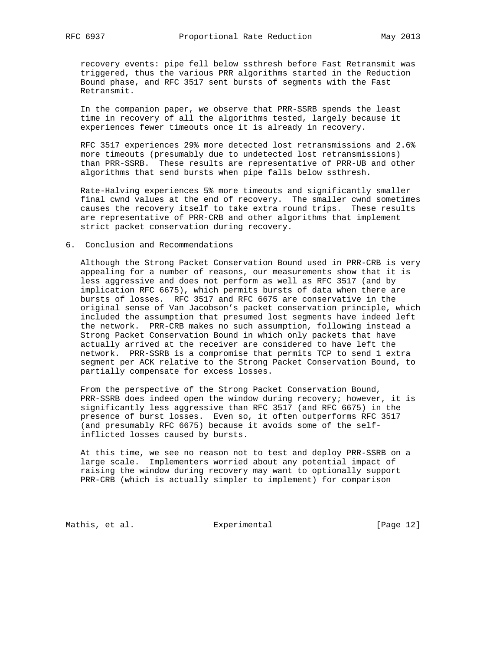recovery events: pipe fell below ssthresh before Fast Retransmit was triggered, thus the various PRR algorithms started in the Reduction Bound phase, and RFC 3517 sent bursts of segments with the Fast Retransmit.

 In the companion paper, we observe that PRR-SSRB spends the least time in recovery of all the algorithms tested, largely because it experiences fewer timeouts once it is already in recovery.

 RFC 3517 experiences 29% more detected lost retransmissions and 2.6% more timeouts (presumably due to undetected lost retransmissions) than PRR-SSRB. These results are representative of PRR-UB and other algorithms that send bursts when pipe falls below ssthresh.

 Rate-Halving experiences 5% more timeouts and significantly smaller final cwnd values at the end of recovery. The smaller cwnd sometimes causes the recovery itself to take extra round trips. These results are representative of PRR-CRB and other algorithms that implement strict packet conservation during recovery.

#### 6. Conclusion and Recommendations

 Although the Strong Packet Conservation Bound used in PRR-CRB is very appealing for a number of reasons, our measurements show that it is less aggressive and does not perform as well as RFC 3517 (and by implication RFC 6675), which permits bursts of data when there are bursts of losses. RFC 3517 and RFC 6675 are conservative in the original sense of Van Jacobson's packet conservation principle, which included the assumption that presumed lost segments have indeed left the network. PRR-CRB makes no such assumption, following instead a Strong Packet Conservation Bound in which only packets that have actually arrived at the receiver are considered to have left the network. PRR-SSRB is a compromise that permits TCP to send 1 extra segment per ACK relative to the Strong Packet Conservation Bound, to partially compensate for excess losses.

 From the perspective of the Strong Packet Conservation Bound, PRR-SSRB does indeed open the window during recovery; however, it is significantly less aggressive than RFC 3517 (and RFC 6675) in the presence of burst losses. Even so, it often outperforms RFC 3517 (and presumably RFC 6675) because it avoids some of the self inflicted losses caused by bursts.

 At this time, we see no reason not to test and deploy PRR-SSRB on a large scale. Implementers worried about any potential impact of raising the window during recovery may want to optionally support PRR-CRB (which is actually simpler to implement) for comparison

Mathis, et al. Experimental [Page 12]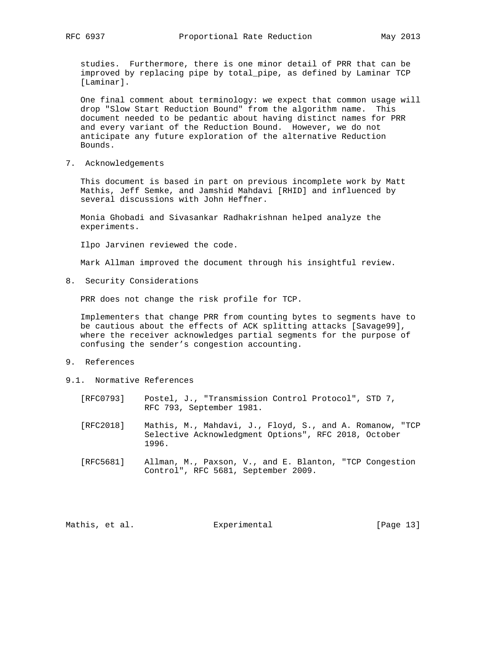studies. Furthermore, there is one minor detail of PRR that can be improved by replacing pipe by total\_pipe, as defined by Laminar TCP [Laminar].

 One final comment about terminology: we expect that common usage will drop "Slow Start Reduction Bound" from the algorithm name. This document needed to be pedantic about having distinct names for PRR and every variant of the Reduction Bound. However, we do not anticipate any future exploration of the alternative Reduction Bounds.

7. Acknowledgements

 This document is based in part on previous incomplete work by Matt Mathis, Jeff Semke, and Jamshid Mahdavi [RHID] and influenced by several discussions with John Heffner.

 Monia Ghobadi and Sivasankar Radhakrishnan helped analyze the experiments.

Ilpo Jarvinen reviewed the code.

Mark Allman improved the document through his insightful review.

8. Security Considerations

PRR does not change the risk profile for TCP.

 Implementers that change PRR from counting bytes to segments have to be cautious about the effects of ACK splitting attacks [Savage99], where the receiver acknowledges partial segments for the purpose of confusing the sender's congestion accounting.

- 9. References
- 9.1. Normative References
	- [RFC0793] Postel, J., "Transmission Control Protocol", STD 7, RFC 793, September 1981.
	- [RFC2018] Mathis, M., Mahdavi, J., Floyd, S., and A. Romanow, "TCP Selective Acknowledgment Options", RFC 2018, October 1996.
	- [RFC5681] Allman, M., Paxson, V., and E. Blanton, "TCP Congestion Control", RFC 5681, September 2009.

Mathis, et al.  $\qquad \qquad$  Experimental [Page 13]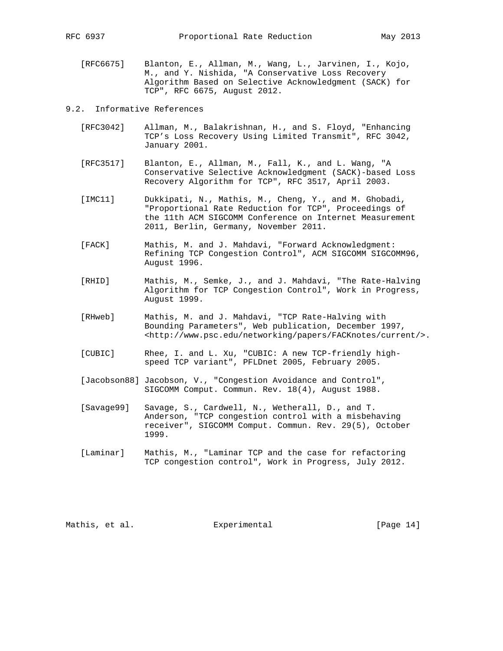[RFC6675] Blanton, E., Allman, M., Wang, L., Jarvinen, I., Kojo, M., and Y. Nishida, "A Conservative Loss Recovery Algorithm Based on Selective Acknowledgment (SACK) for TCP", RFC 6675, August 2012.

### 9.2. Informative References

- [RFC3042] Allman, M., Balakrishnan, H., and S. Floyd, "Enhancing TCP's Loss Recovery Using Limited Transmit", RFC 3042, January 2001.
- [RFC3517] Blanton, E., Allman, M., Fall, K., and L. Wang, "A Conservative Selective Acknowledgment (SACK)-based Loss Recovery Algorithm for TCP", RFC 3517, April 2003.
- [IMC11] Dukkipati, N., Mathis, M., Cheng, Y., and M. Ghobadi, "Proportional Rate Reduction for TCP", Proceedings of the 11th ACM SIGCOMM Conference on Internet Measurement 2011, Berlin, Germany, November 2011.
- [FACK] Mathis, M. and J. Mahdavi, "Forward Acknowledgment: Refining TCP Congestion Control", ACM SIGCOMM SIGCOMM96, August 1996.
- [RHID] Mathis, M., Semke, J., and J. Mahdavi, "The Rate-Halving Algorithm for TCP Congestion Control", Work in Progress, August 1999.
- [RHweb] Mathis, M. and J. Mahdavi, "TCP Rate-Halving with Bounding Parameters", Web publication, December 1997, <http://www.psc.edu/networking/papers/FACKnotes/current/>.
- [CUBIC] Rhee, I. and L. Xu, "CUBIC: A new TCP-friendly high speed TCP variant", PFLDnet 2005, February 2005.
- [Jacobson88] Jacobson, V., "Congestion Avoidance and Control", SIGCOMM Comput. Commun. Rev. 18(4), August 1988.
- [Savage99] Savage, S., Cardwell, N., Wetherall, D., and T. Anderson, "TCP congestion control with a misbehaving receiver", SIGCOMM Comput. Commun. Rev. 29(5), October 1999.
- [Laminar] Mathis, M., "Laminar TCP and the case for refactoring TCP congestion control", Work in Progress, July 2012.

Mathis, et al.  $\Box$  Experimental [Page 14]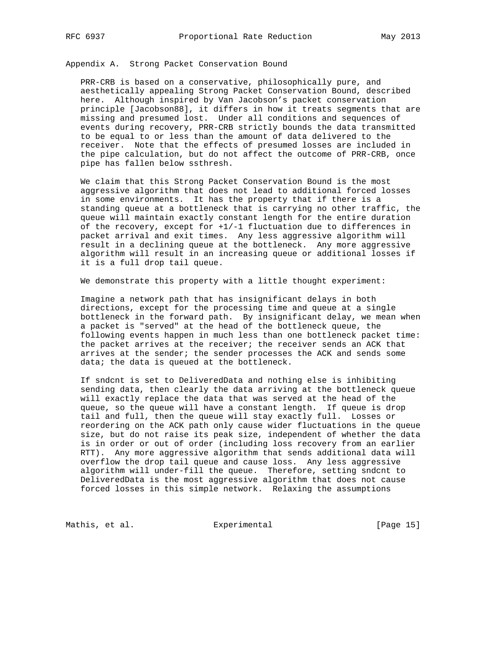Appendix A. Strong Packet Conservation Bound

 PRR-CRB is based on a conservative, philosophically pure, and aesthetically appealing Strong Packet Conservation Bound, described here. Although inspired by Van Jacobson's packet conservation principle [Jacobson88], it differs in how it treats segments that are missing and presumed lost. Under all conditions and sequences of events during recovery, PRR-CRB strictly bounds the data transmitted to be equal to or less than the amount of data delivered to the receiver. Note that the effects of presumed losses are included in the pipe calculation, but do not affect the outcome of PRR-CRB, once pipe has fallen below ssthresh.

 We claim that this Strong Packet Conservation Bound is the most aggressive algorithm that does not lead to additional forced losses in some environments. It has the property that if there is a standing queue at a bottleneck that is carrying no other traffic, the queue will maintain exactly constant length for the entire duration of the recovery, except for +1/-1 fluctuation due to differences in packet arrival and exit times. Any less aggressive algorithm will result in a declining queue at the bottleneck. Any more aggressive algorithm will result in an increasing queue or additional losses if it is a full drop tail queue.

We demonstrate this property with a little thought experiment:

 Imagine a network path that has insignificant delays in both directions, except for the processing time and queue at a single bottleneck in the forward path. By insignificant delay, we mean when a packet is "served" at the head of the bottleneck queue, the following events happen in much less than one bottleneck packet time: the packet arrives at the receiver; the receiver sends an ACK that arrives at the sender; the sender processes the ACK and sends some data; the data is queued at the bottleneck.

 If sndcnt is set to DeliveredData and nothing else is inhibiting sending data, then clearly the data arriving at the bottleneck queue will exactly replace the data that was served at the head of the queue, so the queue will have a constant length. If queue is drop tail and full, then the queue will stay exactly full. Losses or reordering on the ACK path only cause wider fluctuations in the queue size, but do not raise its peak size, independent of whether the data is in order or out of order (including loss recovery from an earlier RTT). Any more aggressive algorithm that sends additional data will overflow the drop tail queue and cause loss. Any less aggressive algorithm will under-fill the queue. Therefore, setting sndcnt to DeliveredData is the most aggressive algorithm that does not cause forced losses in this simple network. Relaxing the assumptions

Mathis, et al.  $\qquad \qquad$  Experimental  $\qquad \qquad$  [Page 15]